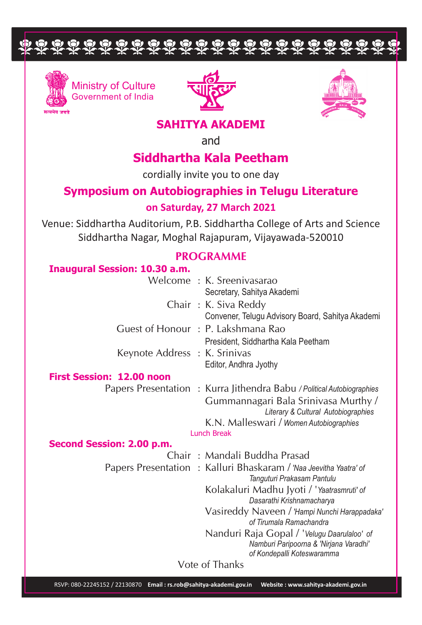dddddddddddddddddddddddd



Government of India Ministry of Culture





**SAHITYA AKADEMI**

and

# **Siddhartha Kala Peetham**

cordially invite you to one day

## **Symposium on Autobiographies in Telugu Literature**

## **on Saturday, 27 March 2021**

Venue: Siddhartha Auditorium, P.B. Siddhartha College of Arts and Science Siddhartha Nagar, Moghal Rajapuram, Vijayawada-520010

## **PROGRAMME**

### **Inaugural Session: 10.30 a.m.**

|                                  | Welcome: K. Sreenivasarao                                              |
|----------------------------------|------------------------------------------------------------------------|
|                                  | Secretary, Sahitya Akademi                                             |
|                                  | Chair: K. Siva Reddy                                                   |
|                                  | Convener, Telugu Advisory Board, Sahitya Akademi                       |
|                                  | Guest of Honour: P. Lakshmana Rao                                      |
|                                  | President, Siddhartha Kala Peetham                                     |
|                                  |                                                                        |
| Keynote Address : K. Srinivas    |                                                                        |
|                                  | Editor, Andhra Jyothy                                                  |
| <b>First Session: 12.00 noon</b> |                                                                        |
|                                  | Papers Presentation : Kurra Jithendra Babu / Political Autobiographies |
|                                  | Gummannagari Bala Srinivasa Murthy /                                   |
|                                  | Literary & Cultural Autobiographies                                    |
|                                  | K.N. Malleswari / Women Autobiographies                                |
| <b>Lunch Break</b>               |                                                                        |
| Second Session: 2.00 p.m.        |                                                                        |
|                                  | Chair: Mandali Buddha Prasad                                           |
|                                  | Papers Presentation : Kalluri Bhaskaram / 'Naa Jeevitha Yaatra' of     |
|                                  | Tanguturi Prakasam Pantulu                                             |
|                                  | Kolakaluri Madhu Jyoti / 'Yaatrasmruti' of                             |
|                                  | Dasarathi Krishnamacharya                                              |
|                                  | Vasireddy Naveen / 'Hampi Nunchi Harappadaka'                          |
|                                  | of Tirumala Ramachandra                                                |
|                                  | Nanduri Raja Gopal / 'Velugu Daarulaloo' of                            |
|                                  | Namburi Paripoorna & 'Nirjana Varadhi'                                 |
|                                  | of Kondepalli Koteswaramma                                             |
| Vote of Thanks                   |                                                                        |
|                                  |                                                                        |